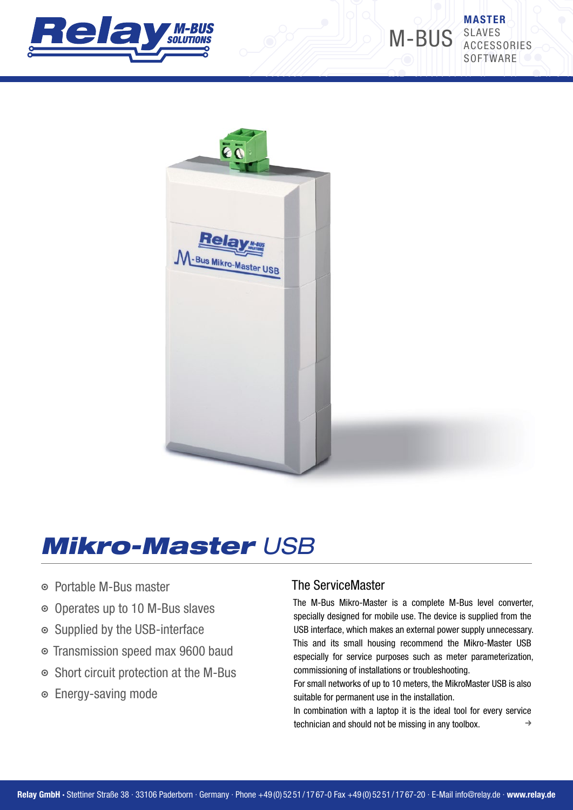

MASTER M-BUS SLAVES **ACCESSORIES SOFTWARE** 



# *Mikro-Master USB*

- **Portable M-Bus master**
- A Operates up to 10 M-Bus slaves
- A Supplied by the USB-interface
- A Transmission speed max 9600 baud
- $\circ$  Short circuit protection at the M-Bus
- **■** Energy-saving mode

#### The ServiceMaster

The M-Bus Mikro-Master is a complete M-Bus level converter, specially designed for mobile use. The device is supplied from the USB interface, which makes an external power supply unnecessary. This and its small housing recommend the Mikro-Master USB especially for service purposes such as meter parameterization, commissioning of installations or troubleshooting.

For small networks of up to 10 meters, the MikroMaster USB is also suitable for permanent use in the installation.

In combination with a laptop it is the ideal tool for every service technician and should not be missing in any toolbox.